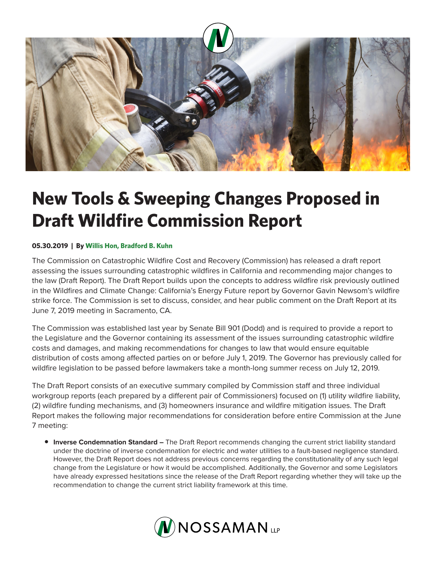

## **New Tools & Sweeping Changes Proposed in Draft Wildfire Commission Report**

## **05.30.2019 | By Willis Hon, Bradford B. Kuhn**

The Commission on Catastrophic Wildfire Cost and Recovery (Commission) has released a draft report assessing the issues surrounding catastrophic wildfires in California and recommending major changes to the law (Draft Report). The Draft Report builds upon the concepts to address wildfire risk previously outlined in the Wildfires and Climate Change: California's Energy Future report by Governor Gavin Newsom's wildfire strike force. The Commission is set to discuss, consider, and hear public comment on the Draft Report at its June 7, 2019 meeting in Sacramento, CA.

The Commission was established last year by Senate Bill 901 (Dodd) and is required to provide a report to the Legislature and the Governor containing its assessment of the issues surrounding catastrophic wildfire costs and damages, and making recommendations for changes to law that would ensure equitable distribution of costs among affected parties on or before July 1, 2019. The Governor has previously called for wildfire legislation to be passed before lawmakers take a month-long summer recess on July 12, 2019.

The Draft Report consists of an executive summary compiled by Commission staff and three individual workgroup reports (each prepared by a different pair of Commissioners) focused on (1) utility wildfire liability, (2) wildfire funding mechanisms, and (3) homeowners insurance and wildfire mitigation issues. The Draft Report makes the following major recommendations for consideration before entire Commission at the June 7 meeting:

● **Inverse Condemnation Standard –** The Draft Report recommends changing the current strict liability standard under the doctrine of inverse condemnation for electric and water utilities to a fault-based negligence standard. However, the Draft Report does not address previous concerns regarding the constitutionality of any such legal change from the Legislature or how it would be accomplished. Additionally, the Governor and some Legislators have already expressed hesitations since the release of the Draft Report regarding whether they will take up the recommendation to change the current strict liability framework at this time.